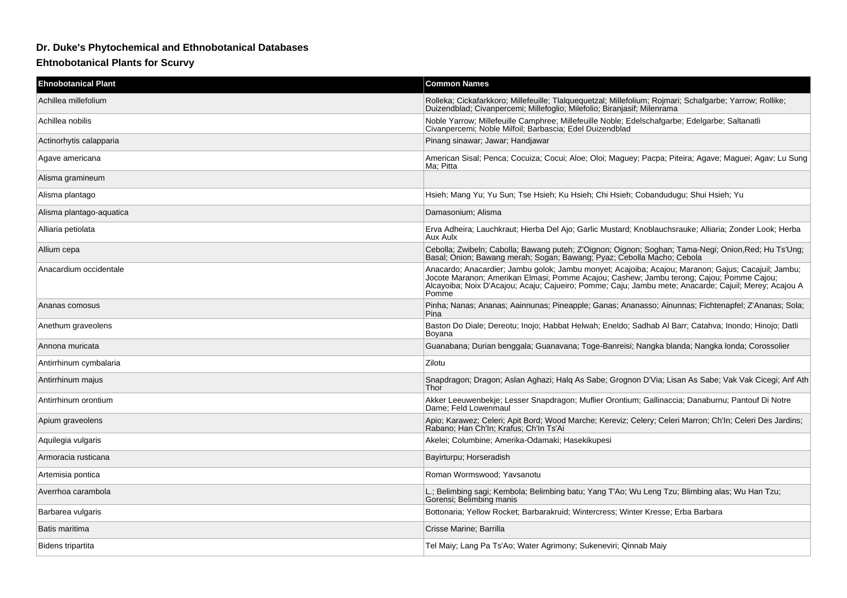## **Dr. Duke's Phytochemical and Ethnobotanical Databases**

## **Ehtnobotanical Plants for Scurvy**

| <b>Ehnobotanical Plant</b> | <b>Common Names</b>                                                                                                                                                                                                                                                                                               |
|----------------------------|-------------------------------------------------------------------------------------------------------------------------------------------------------------------------------------------------------------------------------------------------------------------------------------------------------------------|
| Achillea millefolium       | Rolleka; Cickafarkkoro; Millefeuille; Tlalquequetzal; Millefolium; Rojmari; Schafgarbe; Yarrow; Rollike;<br>Duizendblad; Civanpercemi; Millefoglio; Milefolio; Biranjasif; Milenrama                                                                                                                              |
| Achillea nobilis           | Noble Yarrow; Millefeuille Camphree; Millefeuille Noble; Edelschafgarbe; Edelgarbe; Saltanatli Civanpercemi; Noble Milfoil; Barbascia; Edel Duizendblad                                                                                                                                                           |
| Actinorhytis calapparia    | Pinang sinawar; Jawar; Handjawar                                                                                                                                                                                                                                                                                  |
| Agave americana            | American Sisal; Penca; Cocuiza; Cocui; Aloe; Oloi; Maguey; Pacpa; Piteira; Agave; Maguei; Agav; Lu Sung<br>Ma: Pitta                                                                                                                                                                                              |
| Alisma gramineum           |                                                                                                                                                                                                                                                                                                                   |
| Alisma plantago            | Hsieh: Mang Yu: Yu Sun: Tse Hsieh: Ku Hsieh: Chi Hsieh: Cobandudugu: Shui Hsieh: Yu                                                                                                                                                                                                                               |
| Alisma plantago-aquatica   | Damasonium; Alisma                                                                                                                                                                                                                                                                                                |
| Alliaria petiolata         | Erva Adheira; Lauchkraut; Hierba Del Ajo; Garlic Mustard; Knoblauchsrauke; Alliaria; Zonder Look; Herba<br>Aux Aulx                                                                                                                                                                                               |
| Allium cepa                | Cebolla; Zwibeln; Cabolla; Bawang puteh; Z'Oignon; Oignon; Soghan; Tama-Negi; Onion, Red; Hu Ts'Ung;<br>Basal; Onion; Bawang merah; Sogan; Bawang; Pyaz; Cebolla Macho; Cebola                                                                                                                                    |
| Anacardium occidentale     | Anacardo; Anacardier; Jambu golok; Jambu monyet; Acajoiba; Acajou; Maranon; Gajus; Cacajuil; Jambu;<br>Jocote Maranon; Amerikan Elmasi; Pomme Acajou; Cashew; Jambu terong; Cajou; Pomme Cajou;<br>Alcayoiba; Noix D'Acajou; Acaju; Cajueiro; Pomme; Caju; Jambu mete; Anacarde; Cajuil; Merey; Acajou A<br>Pomme |
| Ananas comosus             | Pinha; Nanas; Ananas; Aainnunas; Pineapple; Ganas; Ananasso; Ainunnas; Fichtenapfel; Z'Ananas; Sola;<br>Pina                                                                                                                                                                                                      |
| Anethum graveolens         | Baston Do Diale; Dereotu; Inojo; Habbat Helwah; Eneldo; Sadhab Al Barr; Catahva; Inondo; Hinojo; Datli<br>Boyana                                                                                                                                                                                                  |
| Annona muricata            | Guanabana; Durian benggala; Guanavana; Toge-Banreisi; Nangka blanda; Nangka londa; Corossolier                                                                                                                                                                                                                    |
| Antirrhinum cymbalaria     | Zilotu                                                                                                                                                                                                                                                                                                            |
| Antirrhinum majus          | Snapdragon; Dragon; Aslan Aghazi; Halg As Sabe; Grognon D'Via; Lisan As Sabe; Vak Vak Cicegi; Anf Ath<br>Thor                                                                                                                                                                                                     |
| Antirrhinum orontium       | Akker Leeuwenbekje; Lesser Snapdragon; Muflier Orontium; Gallinaccia; Danaburnu; Pantouf Di Notre<br>Dame; Feld Lowenmaul                                                                                                                                                                                         |
| Apium graveolens           | Apio; Karawez; Celeri; Apit Bord; Wood Marche; Kereviz; Celery; Celeri Marron; Ch'ln; Celeri Des Jardins;<br>Rabano; Han Ch'ln; Krafus; Ch'ln Ts'Ai                                                                                                                                                               |
| Aquilegia vulgaris         | Akelei; Columbine; Amerika-Odamaki; Hasekikupesi                                                                                                                                                                                                                                                                  |
| Armoracia rusticana        | Bayirturpu; Horseradish                                                                                                                                                                                                                                                                                           |
| Artemisia pontica          | Roman Wormswood; Yavsanotu                                                                                                                                                                                                                                                                                        |
| Averrhoa carambola         | L.; Belimbing sagi; Kembola; Belimbing batu; Yang T'Ao; Wu Leng Tzu; Blimbing alas; Wu Han Tzu;<br>Gorensi: Belimbing manis                                                                                                                                                                                       |
| Barbarea vulgaris          | Bottonaria; Yellow Rocket; Barbarakruid; Wintercress; Winter Kresse; Erba Barbara                                                                                                                                                                                                                                 |
| Batis maritima             | Crisse Marine; Barrilla                                                                                                                                                                                                                                                                                           |
| Bidens tripartita          | Tel Maiy; Lang Pa Ts'Ao; Water Agrimony; Sukeneviri; Qinnab Maiy                                                                                                                                                                                                                                                  |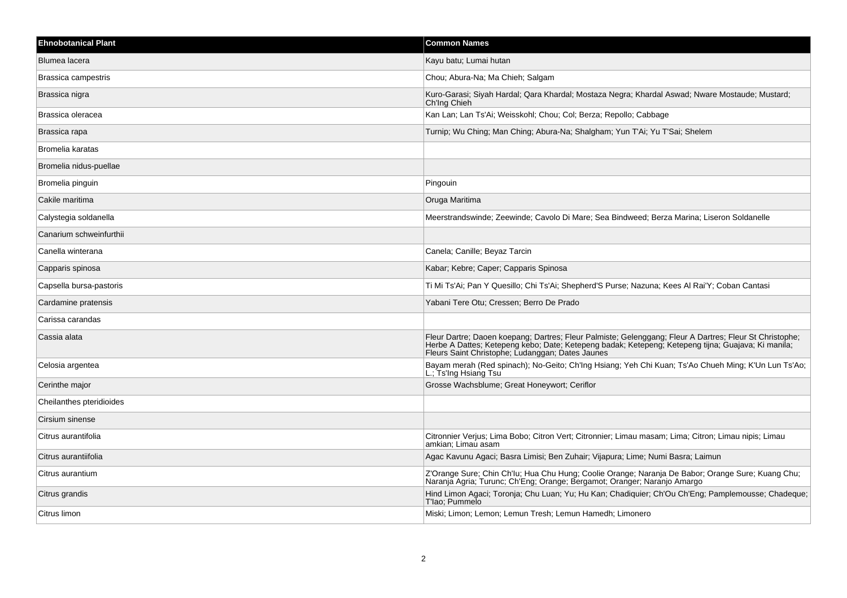| <b>Ehnobotanical Plant</b> | <b>Common Names</b>                                                                                                                                                                                                                                               |
|----------------------------|-------------------------------------------------------------------------------------------------------------------------------------------------------------------------------------------------------------------------------------------------------------------|
| Blumea lacera              | Kayu batu; Lumai hutan                                                                                                                                                                                                                                            |
| Brassica campestris        | Chou; Abura-Na; Ma Chieh; Salgam                                                                                                                                                                                                                                  |
| Brassica nigra             | Kuro-Garasi; Siyah Hardal; Qara Khardal; Mostaza Negra; Khardal Aswad; Nware Mostaude; Mustard;<br>Ch'Ing Chieh                                                                                                                                                   |
| Brassica oleracea          | Kan Lan; Lan Ts'Ai; Weisskohl; Chou; Col; Berza; Repollo; Cabbage                                                                                                                                                                                                 |
| Brassica rapa              | Turnip; Wu Ching; Man Ching; Abura-Na; Shalgham; Yun T'Ai; Yu T'Sai; Shelem                                                                                                                                                                                       |
| Bromelia karatas           |                                                                                                                                                                                                                                                                   |
| Bromelia nidus-puellae     |                                                                                                                                                                                                                                                                   |
| Bromelia pinguin           | Pingouin                                                                                                                                                                                                                                                          |
| Cakile maritima            | Oruga Maritima                                                                                                                                                                                                                                                    |
| Calystegia soldanella      | Meerstrandswinde; Zeewinde; Cavolo Di Mare; Sea Bindweed; Berza Marina; Liseron Soldanelle                                                                                                                                                                        |
| Canarium schweinfurthii    |                                                                                                                                                                                                                                                                   |
| Canella winterana          | Canela; Canille; Beyaz Tarcin                                                                                                                                                                                                                                     |
| Capparis spinosa           | Kabar; Kebre; Caper; Capparis Spinosa                                                                                                                                                                                                                             |
| Capsella bursa-pastoris    | Ti Mi Ts'Ai; Pan Y Quesillo; Chi Ts'Ai; Shepherd'S Purse; Nazuna; Kees Al Rai'Y; Coban Cantasi                                                                                                                                                                    |
| Cardamine pratensis        | Yabani Tere Otu; Cressen; Berro De Prado                                                                                                                                                                                                                          |
| Carissa carandas           |                                                                                                                                                                                                                                                                   |
| Cassia alata               | Fleur Dartre; Daoen koepang; Dartres; Fleur Palmiste; Gelenggang; Fleur A Dartres; Fleur St Christophe;<br>Herbe A Dattes; Ketepeng kebo; Date; Ketepeng badak; Ketepeng; Ketepeng tijna; Guajava; Ki manila;<br>Fleurs Saint Christophe; Ludanggan; Dates Jaunes |
| Celosia argentea           | Bayam merah (Red spinach); No-Geito; Ch'Ing Hsiang; Yeh Chi Kuan; Ts'Ao Chueh Ming; K'Un Lun Ts'Ao;<br>L.; Ts'Ing Hsiang Tsu                                                                                                                                      |
| Cerinthe major             | Grosse Wachsblume; Great Honeywort; Ceriflor                                                                                                                                                                                                                      |
| Cheilanthes pteridioides   |                                                                                                                                                                                                                                                                   |
| Cirsium sinense            |                                                                                                                                                                                                                                                                   |
| Citrus aurantifolia        | Citronnier Verjus; Lima Bobo; Citron Vert; Citronnier; Limau masam; Lima; Citron; Limau nipis; Limau<br>amkian; Limau asam                                                                                                                                        |
| Citrus aurantiifolia       | Agac Kavunu Agaci; Basra Limisi; Ben Zuhair; Vijapura; Lime; Numi Basra; Laimun                                                                                                                                                                                   |
| Citrus aurantium           | Z'Orange Sure; Chin Ch'lu; Hua Chu Hung; Coolie Orange; Naranja De Babor; Orange Sure; Kuang Chu;<br>Naranja Agria; Turunc; Ch'Eng; Orange; Bergamot; Oranger; Naranjo Amargo                                                                                     |
| Citrus grandis             | Hind Limon Agaci; Toronja; Chu Luan; Yu; Hu Kan; Chadiquier; Ch'Ou Ch'Eng; Pamplemousse; Chadeque;<br>T'lao: Pummelo                                                                                                                                              |
| Citrus limon               | Miski; Limon; Lemon; Lemun Tresh; Lemun Hamedh; Limonero                                                                                                                                                                                                          |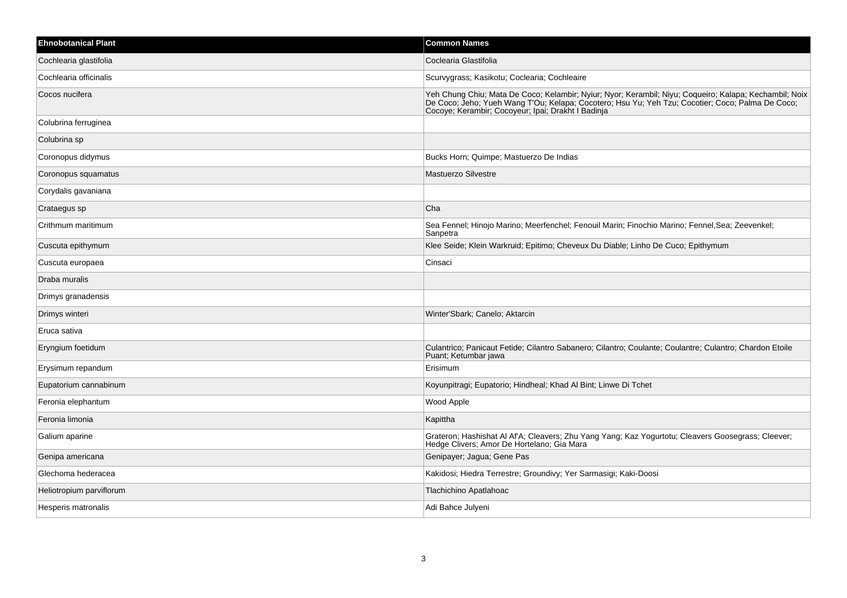| <b>Ehnobotanical Plant</b> | <b>Common Names</b>                                                                                                                                                                                                                                              |
|----------------------------|------------------------------------------------------------------------------------------------------------------------------------------------------------------------------------------------------------------------------------------------------------------|
| Cochlearia glastifolia     | Coclearia Glastifolia                                                                                                                                                                                                                                            |
| Cochlearia officinalis     | Scurvygrass; Kasikotu; Coclearia; Cochleaire                                                                                                                                                                                                                     |
| Cocos nucifera             | Yeh Chung Chiu; Mata De Coco; Kelambir; Nyiur; Nyor; Kerambil; Niyu; Coqueiro; Kalapa; Kechambil; Noix<br>De Coco; Jeho; Yueh Wang T'Ou; Kelapa; Cocotero; Hsu Yu; Yeh Tzu; Cocotier; Coco; Palma De Coco;<br>Cocoye; Kerambir; Cocoyeur; Ipai; Drakht I Badinja |
| Colubrina ferruginea       |                                                                                                                                                                                                                                                                  |
| Colubrina sp               |                                                                                                                                                                                                                                                                  |
| Coronopus didymus          | Bucks Horn; Quimpe; Mastuerzo De Indias                                                                                                                                                                                                                          |
| Coronopus squamatus        | <b>Mastuerzo Silvestre</b>                                                                                                                                                                                                                                       |
| Corydalis gavaniana        |                                                                                                                                                                                                                                                                  |
| Crataegus sp               | Cha                                                                                                                                                                                                                                                              |
| Crithmum maritimum         | Sea Fennel; Hinojo Marino; Meerfenchel; Fenouil Marin; Finochio Marino; Fennel, Sea; Zeevenkel;<br>Sanpetra                                                                                                                                                      |
| Cuscuta epithymum          | Klee Seide; Klein Warkruid; Epitimo; Cheveux Du Diable; Linho De Cuco; Epithymum                                                                                                                                                                                 |
| Cuscuta europaea           | Cinsaci                                                                                                                                                                                                                                                          |
| Draba muralis              |                                                                                                                                                                                                                                                                  |
| Drimys granadensis         |                                                                                                                                                                                                                                                                  |
| Drimys winteri             | Winter'Sbark; Canelo; Aktarcin                                                                                                                                                                                                                                   |
| Eruca sativa               |                                                                                                                                                                                                                                                                  |
| Eryngium foetidum          | Culantrico; Panicaut Fetide; Cilantro Sabanero; Cilantro; Coulante; Coulantre; Culantro; Chardon Etoile<br>Puant; Ketumbar jawa                                                                                                                                  |
| Erysimum repandum          | Erisimum                                                                                                                                                                                                                                                         |
| Eupatorium cannabinum      | Koyunpitragi; Eupatorio; Hindheal; Khad Al Bint; Linwe Di Tchet                                                                                                                                                                                                  |
| Feronia elephantum         | Wood Apple                                                                                                                                                                                                                                                       |
| Feronia limonia            | Kapittha                                                                                                                                                                                                                                                         |
| Galium aparine             | Grateron; Hashishat Al Af'A; Cleavers; Zhu Yang Yang; Kaz Yogurtotu; Cleavers Goosegrass; Cleever;<br>Hedge Clivers; Amor De Hortelano; Gia Mara                                                                                                                 |
| Genipa americana           | Genipayer; Jagua; Gene Pas                                                                                                                                                                                                                                       |
| Glechoma hederacea         | Kakidosi; Hiedra Terrestre; Groundivy; Yer Sarmasigi; Kaki-Doosi                                                                                                                                                                                                 |
| Heliotropium parviflorum   | Tlachichino Apatlahoac                                                                                                                                                                                                                                           |
| Hesperis matronalis        | Adi Bahce Julyeni                                                                                                                                                                                                                                                |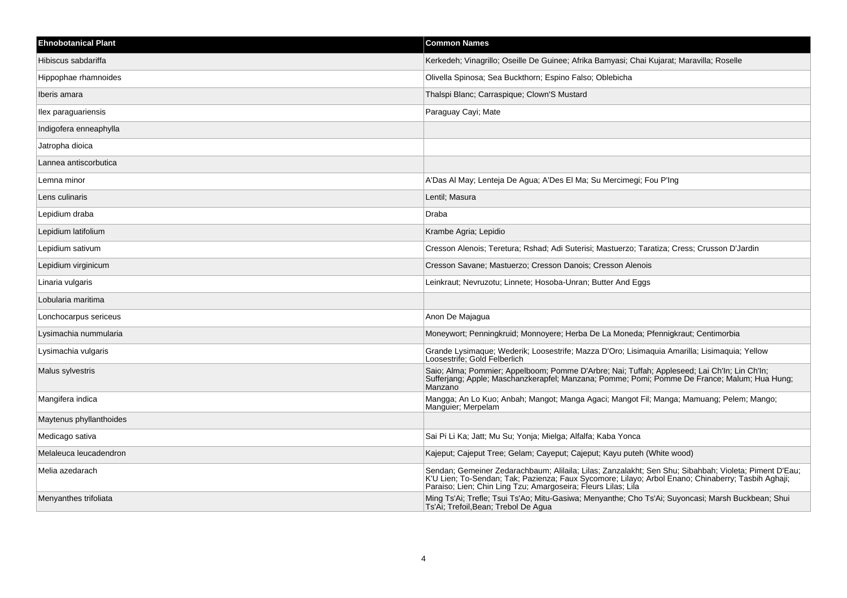| <b>Ehnobotanical Plant</b> | <b>Common Names</b>                                                                                                                                                                                                                                                          |
|----------------------------|------------------------------------------------------------------------------------------------------------------------------------------------------------------------------------------------------------------------------------------------------------------------------|
| Hibiscus sabdariffa        | Kerkedeh; Vinagrillo; Oseille De Guinee; Afrika Bamyasi; Chai Kujarat; Maravilla; Roselle                                                                                                                                                                                    |
| Hippophae rhamnoides       | Olivella Spinosa; Sea Buckthorn; Espino Falso; Oblebicha                                                                                                                                                                                                                     |
| Iberis amara               | Thalspi Blanc; Carraspique; Clown'S Mustard                                                                                                                                                                                                                                  |
| llex paraguariensis        | Paraguay Cayi; Mate                                                                                                                                                                                                                                                          |
| Indigofera enneaphylla     |                                                                                                                                                                                                                                                                              |
| Jatropha dioica            |                                                                                                                                                                                                                                                                              |
| Lannea antiscorbutica      |                                                                                                                                                                                                                                                                              |
| Lemna minor                | A'Das Al May; Lenteja De Agua; A'Des El Ma; Su Mercimegi; Fou P'Ing                                                                                                                                                                                                          |
| Lens culinaris             | Lentil; Masura                                                                                                                                                                                                                                                               |
| Lepidium draba             | Draba                                                                                                                                                                                                                                                                        |
| Lepidium latifolium        | Krambe Agria; Lepidio                                                                                                                                                                                                                                                        |
| Lepidium sativum           | Cresson Alenois; Teretura; Rshad; Adi Suterisi; Mastuerzo; Taratiza; Cress; Crusson D'Jardin                                                                                                                                                                                 |
| Lepidium virginicum        | Cresson Savane; Mastuerzo; Cresson Danois; Cresson Alenois                                                                                                                                                                                                                   |
| Linaria vulgaris           | Leinkraut; Nevruzotu; Linnete; Hosoba-Unran; Butter And Eggs                                                                                                                                                                                                                 |
| Lobularia maritima         |                                                                                                                                                                                                                                                                              |
| Lonchocarpus sericeus      | Anon De Majagua                                                                                                                                                                                                                                                              |
| Lysimachia nummularia      | Moneywort; Penningkruid; Monnoyere; Herba De La Moneda; Pfennigkraut; Centimorbia                                                                                                                                                                                            |
| Lysimachia vulgaris        | Grande Lysimaque; Wederik; Loosestrife; Mazza D'Oro; Lisimaquia Amarilla; Lisimaquia; Yellow<br>Loosestrife; Gold Felberlich                                                                                                                                                 |
| Malus sylvestris           | Saio; Alma; Pommier; Appelboom; Pomme D'Arbre; Nai; Tuffah; Appleseed; Lai Ch'In; Lin Ch'In;<br>Sufferjang; Apple; Maschanzkerapfel; Manzana; Pomme; Pomi; Pomme De France; Malum; Hua Hung;<br>Manzano                                                                      |
| Mangifera indica           | Mangga; An Lo Kuo; Anbah; Mangot; Manga Agaci; Mangot Fil; Manga; Mamuang; Pelem; Mango;<br>Manguier; Merpelam                                                                                                                                                               |
| Maytenus phyllanthoides    |                                                                                                                                                                                                                                                                              |
| Medicago sativa            | Sai Pi Li Ka; Jatt; Mu Su; Yonja; Mielga; Alfalfa; Kaba Yonca                                                                                                                                                                                                                |
| Melaleuca leucadendron     | Kajeput; Cajeput Tree; Gelam; Cayeput; Cajeput; Kayu puteh (White wood)                                                                                                                                                                                                      |
| Melia azedarach            | Sendan; Gemeiner Zedarachbaum; Alilaila; Lilas; Zanzalakht; Sen Shu; Sibahbah; Violeta; Piment D'Eau;<br>K'U Lien; To-Sendan; Tak; Pazienza; Faux Sycomore; Lilayo; Arbol Enano; Chinaberry; Tasbih Aghaji;<br>Paraiso; Lien; Chin Ling Tzu; Amargoseira; Fleurs Lilas; Lila |
| Menyanthes trifoliata      | Ming Ts'Ai; Trefle; Tsui Ts'Ao; Mitu-Gasiwa; Menyanthe; Cho Ts'Ai; Suyoncasi; Marsh Buckbean; Shui<br>Ts'Ai; Trefoil, Bean; Trebol De Agua                                                                                                                                   |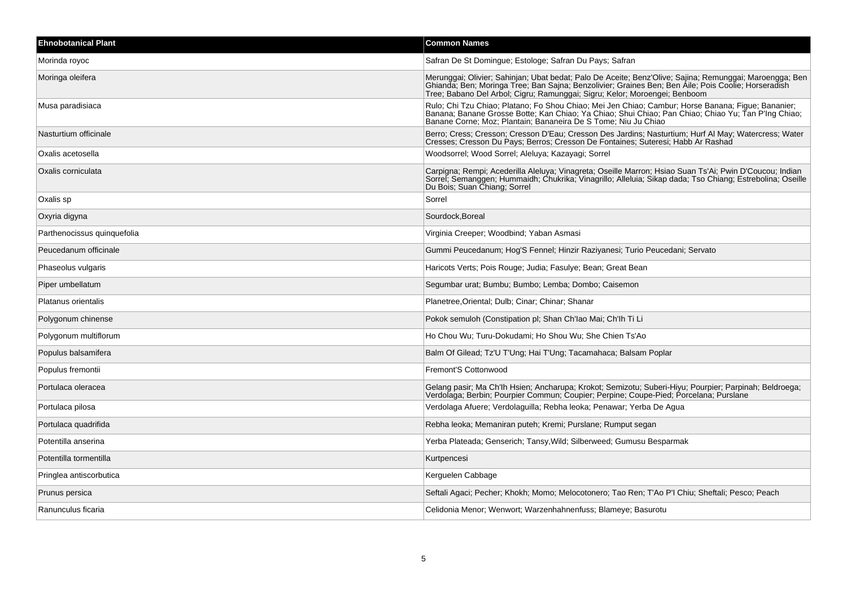| <b>Ehnobotanical Plant</b>  | <b>Common Names</b>                                                                                                                                                                                                                                                                          |
|-----------------------------|----------------------------------------------------------------------------------------------------------------------------------------------------------------------------------------------------------------------------------------------------------------------------------------------|
| Morinda royoc               | Safran De St Domingue; Estologe; Safran Du Pays; Safran                                                                                                                                                                                                                                      |
| Moringa oleifera            | Merunggai; Olivier; Sahinjan; Ubat bedat; Palo De Aceite; Benz'Olive; Sajina; Remunggai; Maroengga; Ben<br>Ghianda; Ben; Moringa Tree; Ban Sajna; Benzolivier; Graines Ben; Ben Aile; Pois Coolie; Horseradish<br>Tree; Babano Del Arbol; Cigru; Ramunggai; Sigru; Kelor; Moroengei; Benboom |
| Musa paradisiaca            | Rulo; Chi Tzu Chiao; Platano; Fo Shou Chiao; Mei Jen Chiao; Cambur; Horse Banana; Figue; Bananier;<br>Banana; Banane Grosse Botte; Kan Chiao; Ya Chiao; Shui Chiao; Pan Chiao; Chiao Yu; Tan P'Ing Chiao;<br>Banane Corne; Moz; Plantain; Bananeira De S Tome; Niu Ju Chiao                  |
| Nasturtium officinale       | Berro; Cress; Cresson; Cresson D'Eau; Cresson Des Jardins; Nasturtium; Hurf Al May; Watercress; Water<br>Cresses; Cresson Du Pays; Berros; Cresson De Fontaines; Suteresi; Habb Ar Rashad                                                                                                    |
| Oxalis acetosella           | Woodsorrel; Wood Sorrel; Aleluya; Kazayagi; Sorrel                                                                                                                                                                                                                                           |
| Oxalis corniculata          | Carpigna; Rempi; Acederilla Aleluya; Vinagreta; Oseille Marron; Hsiao Suan Ts'Ai; Pwin D'Coucou; Indian<br>Sorrel, Semanggen, Hummaidh, Chukrika, Vinagrillo, Alleluia, Sikap dada, Tso Chiang, Estrebolina, Oseille<br>Du Bois: Suan Chiang: Sorrel                                         |
| Oxalis sp                   | Sorrel                                                                                                                                                                                                                                                                                       |
| Oxyria digyna               | Sourdock, Boreal                                                                                                                                                                                                                                                                             |
| Parthenocissus quinquefolia | Virginia Creeper; Woodbind; Yaban Asmasi                                                                                                                                                                                                                                                     |
| Peucedanum officinale       | Gummi Peucedanum; Hog'S Fennel; Hinzir Raziyanesi; Turio Peucedani; Servato                                                                                                                                                                                                                  |
| Phaseolus vulgaris          | Haricots Verts; Pois Rouge; Judia; Fasulye; Bean; Great Bean                                                                                                                                                                                                                                 |
| Piper umbellatum            | Segumbar urat; Bumbu; Bumbo; Lemba; Dombo; Caisemon                                                                                                                                                                                                                                          |
| Platanus orientalis         | Planetree, Oriental; Dulb; Cinar; Chinar; Shanar                                                                                                                                                                                                                                             |
| Polygonum chinense          | Pokok semuloh (Constipation pl; Shan Ch'lao Mai; Ch'lh Ti Li                                                                                                                                                                                                                                 |
| Polygonum multiflorum       | Ho Chou Wu; Turu-Dokudami; Ho Shou Wu; She Chien Ts'Ao                                                                                                                                                                                                                                       |
| Populus balsamifera         | Balm Of Gilead; Tz'U T'Ung; Hai T'Ung; Tacamahaca; Balsam Poplar                                                                                                                                                                                                                             |
| Populus fremontii           | Fremont'S Cottonwood                                                                                                                                                                                                                                                                         |
| Portulaca oleracea          | Gelang pasir; Ma Ch'lh Hsien; Ancharupa; Krokot; Semizotu; Suberi-Hiyu; Pourpier; Parpinah; Beldroega;<br>Verdolaga; Berbin; Pourpier Commun; Coupier; Perpine; Coupe-Pied; Porcelana; Purslane                                                                                              |
| Portulaca pilosa            | Verdolaga Afuere; Verdolaguilla; Rebha leoka; Penawar; Yerba De Agua                                                                                                                                                                                                                         |
| Portulaca quadrifida        | Rebha leoka; Memaniran puteh; Kremi; Purslane; Rumput segan                                                                                                                                                                                                                                  |
| Potentilla anserina         | Yerba Plateada; Genserich; Tansy, Wild; Silberweed; Gumusu Besparmak                                                                                                                                                                                                                         |
| Potentilla tormentilla      | Kurtpencesi                                                                                                                                                                                                                                                                                  |
| Pringlea antiscorbutica     | Kerguelen Cabbage                                                                                                                                                                                                                                                                            |
| Prunus persica              | Seftali Agaci; Pecher; Khokh; Momo; Melocotonero; Tao Ren; T'Ao P'l Chiu; Sheftali; Pesco; Peach                                                                                                                                                                                             |
| Ranunculus ficaria          | Celidonia Menor: Wenwort: Warzenhahnenfuss: Blameye: Basurotu                                                                                                                                                                                                                                |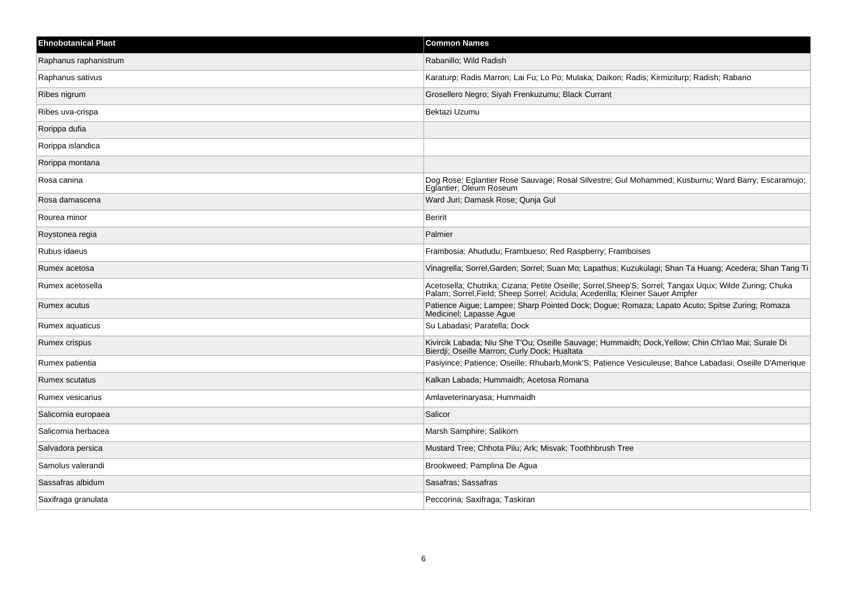| <b>Ehnobotanical Plant</b> | <b>Common Names</b>                                                                                                                                                                      |
|----------------------------|------------------------------------------------------------------------------------------------------------------------------------------------------------------------------------------|
| Raphanus raphanistrum      | Rabanillo; Wild Radish                                                                                                                                                                   |
| Raphanus sativus           | Karaturp; Radis Marron; Lai Fu; Lo Po; Mulaka; Daikon; Radis; Kirmiziturp; Radish; Rabano                                                                                                |
| Ribes nigrum               | Grosellero Negro; Siyah Frenkuzumu; Black Currant                                                                                                                                        |
| Ribes uva-crispa           | Bektazi Uzumu                                                                                                                                                                            |
| Rorippa dufia              |                                                                                                                                                                                          |
| Rorippa islandica          |                                                                                                                                                                                          |
| Rorippa montana            |                                                                                                                                                                                          |
| Rosa canina                | Dog Rose; Eglantier Rose Sauvage; Rosal Silvestre; Gul Mohammed; Kusburnu; Ward Barry; Escaramujo;<br>Eglantier; Oleum Roseum                                                            |
| Rosa damascena             | Ward Juri; Damask Rose; Qunja Gul                                                                                                                                                        |
| Rourea minor               | <b>Beririt</b>                                                                                                                                                                           |
| Roystonea regia            | Palmier                                                                                                                                                                                  |
| Rubus idaeus               | Frambosia; Ahududu; Frambueso; Red Raspberry; Framboises                                                                                                                                 |
| Rumex acetosa              | Vinagrella: Sorrel Garden: Sorrel: Suan Mo: Lapathus: Kuzukulagi: Shan Ta Huang: Acedera: Shan Tang Ti                                                                                   |
| Rumex acetosella           | Acetosella; Chutrika; Cizana; Petite Oseille; Sorrel, Sheep'S; Sorrel; Tangax Uqux; Wilde Zuring; Chuka<br>Palam; Sorrel, Field; Sheep Sorrel; Acidula; Acederilla; Kleiner Sauer Ampfer |
| Rumex acutus               | Patience Aigue; Lampee; Sharp Pointed Dock; Dogue; Romaza; Lapato Acuto; Spitse Zuring; Romaza<br>Medicinel; Lapasse Ague                                                                |
| Rumex aquaticus            | Su Labadasi; Paratella; Dock                                                                                                                                                             |
| Rumex crispus              | Kivircik Labada; Niu She T'Ou; Oseille Sauvage; Hummaidh; Dock, Yellow; Chin Ch'lao Mai; Surale Di<br>Bierdji; Oseille Marron; Curly Dock; Hualtata                                      |
| Rumex patientia            | Pasiyince; Patience; Oseille; Rhubarb, Monk'S; Patience Vesiculeuse; Bahce Labadasi; Oseille D'Amerique                                                                                  |
| <b>Rumex scutatus</b>      | Kalkan Labada; Hummaidh; Acetosa Romana                                                                                                                                                  |
| Rumex vesicarius           | Amlaveterinaryasa; Hummaidh                                                                                                                                                              |
| Salicornia europaea        | Salicor                                                                                                                                                                                  |
| Salicornia herbacea        | Marsh Samphire; Salikorn                                                                                                                                                                 |
| Salvadora persica          | Mustard Tree; Chhota Pilu; Ark; Misvak; Toothhbrush Tree                                                                                                                                 |
| Samolus valerandi          | Brookweed; Pamplina De Agua                                                                                                                                                              |
| Sassafras albidum          | Sasafras; Sassafras                                                                                                                                                                      |
| Saxifraga granulata        | Peccorina; Saxifraga; Taskiran                                                                                                                                                           |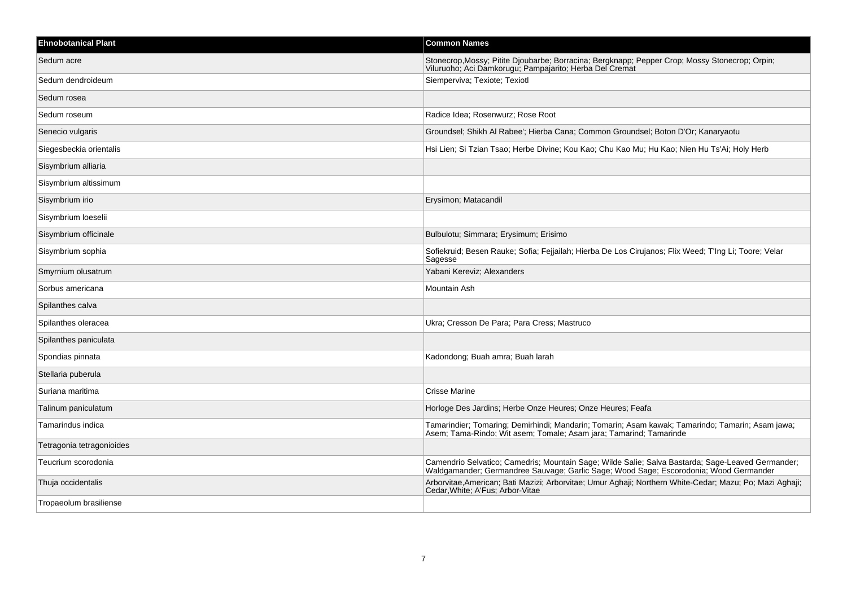| <b>Ehnobotanical Plant</b> | <b>Common Names</b>                                                                                                                                                                        |
|----------------------------|--------------------------------------------------------------------------------------------------------------------------------------------------------------------------------------------|
| Sedum acre                 | Stonecrop, Mossy; Pitite Djoubarbe; Borracina; Bergknapp; Pepper Crop; Mossy Stonecrop; Orpin; Viluruoho; Aci Damkorugu; Pampajarito; Herba Del Cremat                                     |
| Sedum dendroideum          | Siemperviva; Texiote; Texiotl                                                                                                                                                              |
| Sedum rosea                |                                                                                                                                                                                            |
| Sedum roseum               | Radice Idea; Rosenwurz; Rose Root                                                                                                                                                          |
| Senecio vulgaris           | Groundsel; Shikh Al Rabee'; Hierba Cana; Common Groundsel; Boton D'Or; Kanaryaotu                                                                                                          |
| Siegesbeckia orientalis    | Hsi Lien; Si Tzian Tsao; Herbe Divine; Kou Kao; Chu Kao Mu; Hu Kao; Nien Hu Ts'Ai; Holy Herb                                                                                               |
| Sisymbrium alliaria        |                                                                                                                                                                                            |
| Sisymbrium altissimum      |                                                                                                                                                                                            |
| Sisymbrium irio            | Erysimon; Matacandil                                                                                                                                                                       |
| Sisymbrium loeselii        |                                                                                                                                                                                            |
| Sisymbrium officinale      | Bulbulotu; Simmara; Erysimum; Erisimo                                                                                                                                                      |
| Sisymbrium sophia          | Sofiekruid; Besen Rauke; Sofia; Fejjailah; Hierba De Los Cirujanos; Flix Weed; T'Ing Li; Toore; Velar<br>Sagesse                                                                           |
| Smyrnium olusatrum         | Yabani Kereviz; Alexanders                                                                                                                                                                 |
| Sorbus americana           | Mountain Ash                                                                                                                                                                               |
| Spilanthes calva           |                                                                                                                                                                                            |
| Spilanthes oleracea        | Ukra; Cresson De Para; Para Cress; Mastruco                                                                                                                                                |
| Spilanthes paniculata      |                                                                                                                                                                                            |
| Spondias pinnata           | Kadondong; Buah amra; Buah larah                                                                                                                                                           |
| Stellaria puberula         |                                                                                                                                                                                            |
| Suriana maritima           | <b>Crisse Marine</b>                                                                                                                                                                       |
| Talinum paniculatum        | Horloge Des Jardins; Herbe Onze Heures; Onze Heures; Feafa                                                                                                                                 |
| Tamarindus indica          | Tamarindier; Tomaring; Demirhindi; Mandarin; Tomarin; Asam kawak; Tamarindo; Tamarin; Asam jawa;<br>Asem; Tama-Rindo; Wit asem; Tomale; Asam jara; Tamarind; Tamarinde                     |
| Tetragonia tetragonioides  |                                                                                                                                                                                            |
| Teucrium scorodonia        | Camendrio Selvatico; Camedris; Mountain Sage; Wilde Salie; Salva Bastarda; Sage-Leaved Germander;<br>Waldgamander; Germandree Sauvage; Garlic Sage; Wood Sage; Escorodonia; Wood Germander |
| Thuja occidentalis         | Arborvitae, American; Bati Mazizi; Arborvitae; Umur Aghaji; Northern White-Cedar; Mazu; Po; Mazi Aghaji;<br>Cedar, White, A'Fus, Arbor-Vitae                                               |
| Tropaeolum brasiliense     |                                                                                                                                                                                            |